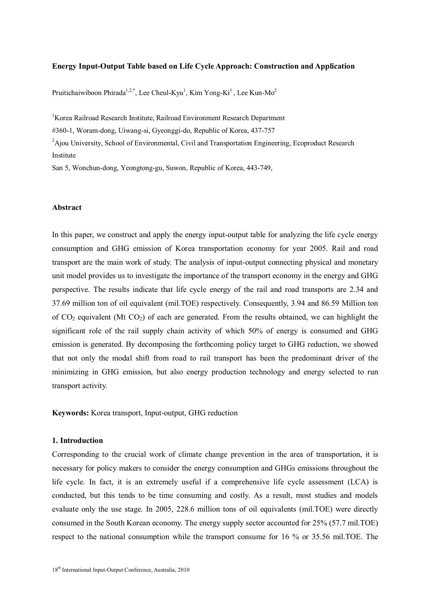#### **Energy Input-Output Table based on Life Cycle Approach: Construction and Application**

Pruitichaiwiboon Phirada<sup>1,2,\*</sup>, Lee Cheul-Kyu<sup>1</sup>, Kim Yong-Ki<sup>1</sup>, Lee Kun-Mo<sup>2</sup>

<sup>1</sup>Korea Railroad Research Institute, Railroad Environment Research Department

#360-1, Woram-dong, Uiwang-si, Gyeonggi-do, Republic of Korea, 437-757

<sup>2</sup>Ajou University, School of Environmental, Civil and Transportation Engineering, Ecoproduct Research Institute

San 5, Wonchun-dong, Yeongtong-gu, Suwon, Republic of Korea, 443-749,

#### **Abstract**

In this paper, we construct and apply the energy input-output table for analyzing the life cycle energy consumption and GHG emission of Korea transportation economy for year 2005. Rail and road transport are the main work of study. The analysis of input-output connecting physical and monetary unit model provides us to investigate the importance of the transport economy in the energy and GHG perspective. The results indicate that life cycle energy of the rail and road transports are 2.34 and 37.69 million ton of oil equivalent (mil.TOE) respectively. Consequently, 3.94 and 86.59 Million ton of  $CO<sub>2</sub>$  equivalent (Mt  $CO<sub>2</sub>$ ) of each are generated. From the results obtained, we can highlight the significant role of the rail supply chain activity of which 50% of energy is consumed and GHG emission is generated. By decomposing the forthcoming policy target to GHG reduction, we showed that not only the modal shift from road to rail transport has been the predominant driver of the minimizing in GHG emission, but also energy production technology and energy selected to run transport activity.

**Keywords:** Korea transport, Input-output, GHG reduction

## **1. Introduction**

Corresponding to the crucial work of climate change prevention in the area of transportation, it is necessary for policy makers to consider the energy consumption and GHGs emissions throughout the life cycle. In fact, it is an extremely useful if a comprehensive life cycle assessment (LCA) is conducted, but this tends to be time consuming and costly. As a result, most studies and models evaluate only the use stage. In 2005, 228.6 million tons of oil equivalents (mil.TOE) were directly consumed in the South Korean economy. The energy supply sector accounted for 25% (57.7 mil.TOE) respect to the national consumption while the transport consume for 16 % or 35.56 mil.TOE. The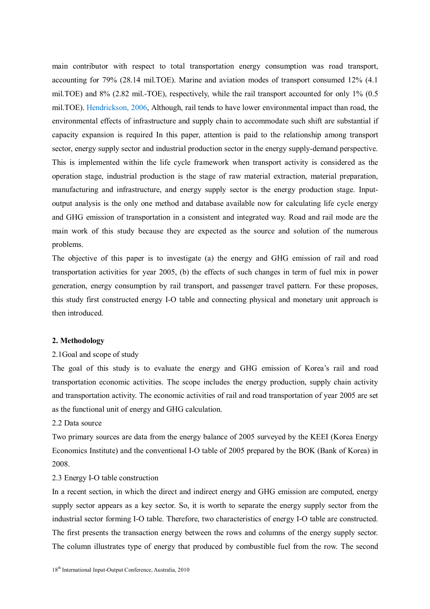main contributor with respect to total transportation energy consumption was road transport, accounting for 79% (28.14 mil.TOE). Marine and aviation modes of transport consumed 12% (4.1 mil.TOE) and 8% (2.82 mil.-TOE), respectively, while the rail transport accounted for only 1% (0.5 mil.TOE). Hendrickson, 2006, Although, rail tends to have lower environmental impact than road, the environmental effects of infrastructure and supply chain to accommodate such shift are substantial if capacity expansion is required In this paper, attention is paid to the relationship among transport sector, energy supply sector and industrial production sector in the energy supply-demand perspective. This is implemented within the life cycle framework when transport activity is considered as the operation stage, industrial production is the stage of raw material extraction, material preparation, manufacturing and infrastructure, and energy supply sector is the energy production stage. Inputoutput analysis is the only one method and database available now for calculating life cycle energy and GHG emission of transportation in a consistent and integrated way. Road and rail mode are the main work of this study because they are expected as the source and solution of the numerous problems.

The objective of this paper is to investigate (a) the energy and GHG emission of rail and road transportation activities for year 2005, (b) the effects of such changes in term of fuel mix in power generation, energy consumption by rail transport, and passenger travel pattern. For these proposes, this study first constructed energy I-O table and connecting physical and monetary unit approach is then introduced.

#### **2. Methodology**

#### 2.1Goal and scope of study

The goal of this study is to evaluate the energy and GHG emission of Korea's rail and road transportation economic activities. The scope includes the energy production, supply chain activity and transportation activity. The economic activities of rail and road transportation of year 2005 are set as the functional unit of energy and GHG calculation.

# 2.2 Data source

Two primary sources are data from the energy balance of 2005 surveyed by the KEEI (Korea Energy Economics Institute) and the conventional I-O table of 2005 prepared by the BOK (Bank of Korea) in 2008.

#### 2.3 Energy I-O table construction

In a recent section, in which the direct and indirect energy and GHG emission are computed, energy supply sector appears as a key sector. So, it is worth to separate the energy supply sector from the industrial sector forming I-O table. Therefore, two characteristics of energy I-O table are constructed. The first presents the transaction energy between the rows and columns of the energy supply sector. The column illustrates type of energy that produced by combustible fuel from the row. The second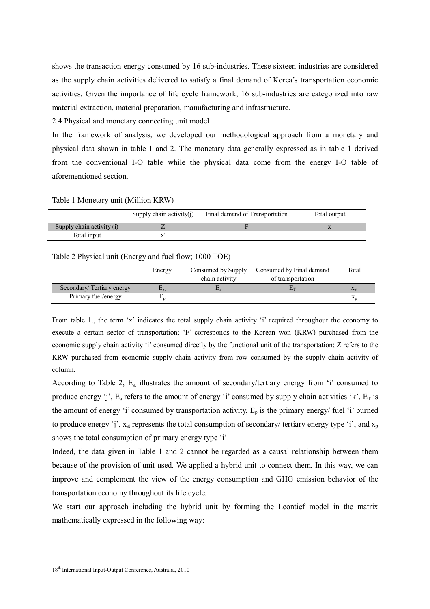shows the transaction energy consumed by 16 sub-industries. These sixteen industries are considered as the supply chain activities delivered to satisfy a final demand of Korea's transportation economic activities. Given the importance of life cycle framework, 16 sub-industries are categorized into raw material extraction, material preparation, manufacturing and infrastructure.

2.4 Physical and monetary connecting unit model

In the framework of analysis, we developed our methodological approach from a monetary and physical data shown in table 1 and 2. The monetary data generally expressed as in table 1 derived from the conventional I-O table while the physical data come from the energy I-O table of aforementioned section.

Table 1 Monetary unit (Million KRW)

|                           | Supply chain activity $(i)$ | Final demand of Transportation | Total output |
|---------------------------|-----------------------------|--------------------------------|--------------|
| Supply chain activity (i) |                             |                                |              |
| Total input               |                             |                                |              |

#### Table 2 Physical unit (Energy and fuel flow; 1000 TOE)

|                           | Energy       | Consumed by Supply<br>chain activity | Consumed by Final demand<br>of transportation | Total    |
|---------------------------|--------------|--------------------------------------|-----------------------------------------------|----------|
| Secondary/Tertiary energy | $L_{\rm st}$ |                                      |                                               | $X_{st}$ |
| Primary fuel/energy       |              |                                      |                                               | $X_{n}$  |

From table 1., the term 'x' indicates the total supply chain activity 'i' required throughout the economy to execute a certain sector of transportation; 'F' corresponds to the Korean won (KRW) purchased from the economic supply chain activity 'i' consumed directly by the functional unit of the transportation; Z refers to the KRW purchased from economic supply chain activity from row consumed by the supply chain activity of column.

According to Table 2, E<sub>st</sub> illustrates the amount of secondary/tertiary energy from 'i' consumed to produce energy 'j',  $E_a$  refers to the amount of energy 'i' consumed by supply chain activities 'k',  $E_T$  is the amount of energy 'i' consumed by transportation activity,  $E_p$  is the primary energy/ fuel 'i' burned to produce energy 'j',  $x_{st}$  represents the total consumption of secondary/ tertiary energy type 'i', and  $x_p$ shows the total consumption of primary energy type 'i'.

Indeed, the data given in Table 1 and 2 cannot be regarded as a causal relationship between them because of the provision of unit used. We applied a hybrid unit to connect them. In this way, we can improve and complement the view of the energy consumption and GHG emission behavior of the transportation economy throughout its life cycle.

We start our approach including the hybrid unit by forming the Leontief model in the matrix mathematically expressed in the following way: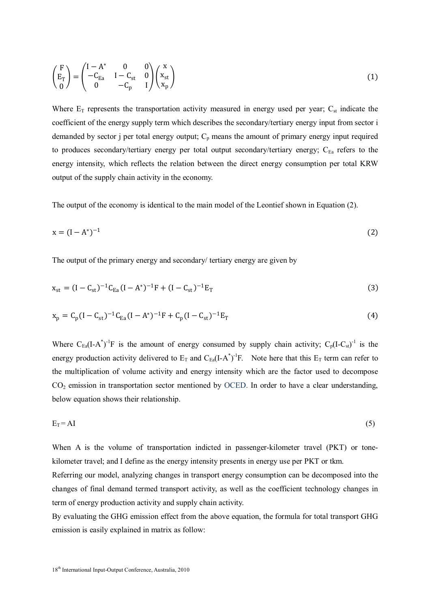$$
\begin{pmatrix} F \ E_T \ 0 \end{pmatrix} = \begin{pmatrix} I - A^* & 0 & 0 \ -C_{Ea} & I - C_{st} & 0 \ 0 & -C_p & I \end{pmatrix} \begin{pmatrix} x \ x_{st} \ x_p \end{pmatrix}
$$
\n(1)

Where  $E_T$  represents the transportation activity measured in energy used per year;  $C_{st}$  indicate the coefficient of the energy supply term which describes the secondary/tertiary energy input from sector i demanded by sector j per total energy output;  $C_p$  means the amount of primary energy input required to produces secondary/tertiary energy per total output secondary/tertiary energy; CEa refers to the energy intensity, which reflects the relation between the direct energy consumption per total KRW output of the supply chain activity in the economy.

The output of the economy is identical to the main model of the Leontief shown in Equation (2).

$$
x = (I - A^*)^{-1}
$$
 (2)

The output of the primary energy and secondary/ tertiary energy are given by

$$
x_{st} = (I - C_{st})^{-1}C_{Ea}(I - A^{*})^{-1}F + (I - C_{st})^{-1}E_{T}
$$
\n(3)

$$
x_p = C_p (I - C_{st})^{-1} C_{Ea} (I - A^*)^{-1} F + C_p (I - C_{st})^{-1} E_T
$$
\n(4)

Where  $C_{Ea}(I-A^*)^{-1}F$  is the amount of energy consumed by supply chain activity;  $C_p(I-C_{st})^{-1}$  is the energy production activity delivered to  $E_T$  and  $C_{Ea}(I-A^*)^{-1}F$ . Note here that this  $E_T$  term can refer to the multiplication of volume activity and energy intensity which are the factor used to decompose  $CO<sub>2</sub>$  emission in transportation sector mentioned by OCED. In order to have a clear understanding, below equation shows their relationship.

$$
E_T = AI \tag{5}
$$

When A is the volume of transportation indicted in passenger-kilometer travel (PKT) or tonekilometer travel; and I define as the energy intensity presents in energy use per PKT or tkm.

Referring our model, analyzing changes in transport energy consumption can be decomposed into the changes of final demand termed transport activity, as well as the coefficient technology changes in term of energy production activity and supply chain activity.

By evaluating the GHG emission effect from the above equation, the formula for total transport GHG emission is easily explained in matrix as follow: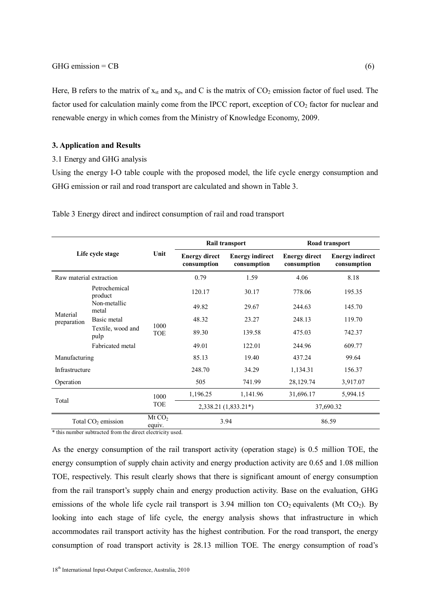Here, B refers to the matrix of  $x_{st}$  and  $x_p$ , and C is the matrix of  $CO_2$  emission factor of fuel used. The factor used for calculation mainly come from the IPCC report, exception of  $CO<sub>2</sub>$  factor for nuclear and renewable energy in which comes from the Ministry of Knowledge Economy, 2009.

#### **3. Application and Results**

#### 3.1 Energy and GHG analysis

Using the energy I-O table couple with the proposed model, the life cycle energy consumption and GHG emission or rail and road transport are calculated and shown in Table 3.

| . |  |  |
|---|--|--|
|   |  |  |
|   |  |  |
|   |  |  |

Table 3 Energy direct and indirect consumption of rail and road transport

| Life cycle stage                                                        |                      |                              |                                     | Rail transport                        | Road transport                      |                                       |  |
|-------------------------------------------------------------------------|----------------------|------------------------------|-------------------------------------|---------------------------------------|-------------------------------------|---------------------------------------|--|
|                                                                         |                      | Unit                         | <b>Energy direct</b><br>consumption | <b>Energy indirect</b><br>consumption | <b>Energy direct</b><br>consumption | <b>Energy indirect</b><br>consumption |  |
| Raw material extraction                                                 |                      |                              | 0.79                                | 1.59                                  | 4.06                                | 8.18                                  |  |
| Petrochemical<br>product                                                |                      |                              | 120.17                              | 30.17                                 | 778.06                              | 195.35                                |  |
| Non-metallic<br>metal<br>Material<br>Basic metal<br>preparation<br>pulp |                      |                              | 49.82                               | 29.67                                 | 244.63                              | 145.70                                |  |
|                                                                         |                      |                              | 48.32                               | 23.27                                 | 248.13                              | 119.70                                |  |
|                                                                         | Textile, wood and    | 1000<br><b>TOE</b>           | 89.30                               | 139.58                                | 475.03                              | 742.37                                |  |
| Fabricated metal                                                        |                      |                              | 49.01                               | 122.01                                | 244.96                              | 609.77                                |  |
| Manufacturing                                                           |                      |                              | 85.13                               | 19.40                                 | 437.24                              | 99.64                                 |  |
| Infrastructure                                                          |                      |                              | 248.70                              | 34.29                                 | 1,134.31                            | 156.37                                |  |
| Operation                                                               |                      |                              | 505                                 | 741.99                                | 28,129.74                           | 3,917.07                              |  |
| Total                                                                   |                      | 1000<br><b>TOE</b>           | 1,196.25                            | 1,141.96                              | 31,696.17                           | 5,994.15                              |  |
|                                                                         |                      |                              | 2,338.21 (1,833.21*)                |                                       | 37,690.32                           |                                       |  |
|                                                                         | Total $CO2$ emission | Mt CO <sub>2</sub><br>equiv. | 3.94                                |                                       | 86.59                               |                                       |  |

\* this number subtracted from the direct electricity used.

As the energy consumption of the rail transport activity (operation stage) is 0.5 million TOE, the energy consumption of supply chain activity and energy production activity are 0.65 and 1.08 million TOE, respectively. This result clearly shows that there is significant amount of energy consumption from the rail transport's supply chain and energy production activity. Base on the evaluation, GHG emissions of the whole life cycle rail transport is 3.94 million ton  $CO_2$  equivalents (Mt  $CO_2$ ). By looking into each stage of life cycle, the energy analysis shows that infrastructure in which accommodates rail transport activity has the highest contribution. For the road transport, the energy consumption of road transport activity is 28.13 million TOE. The energy consumption of road's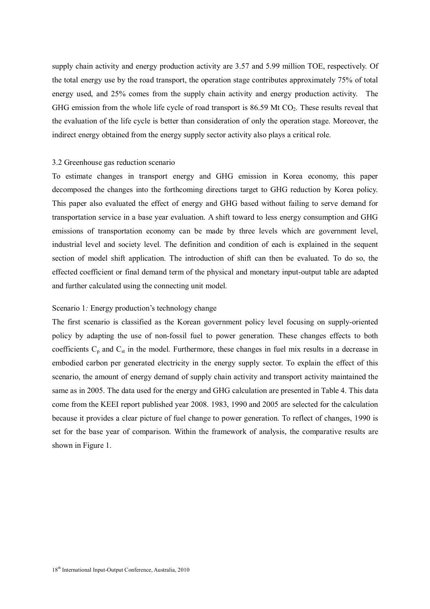supply chain activity and energy production activity are 3.57 and 5.99 million TOE, respectively. Of the total energy use by the road transport, the operation stage contributes approximately 75% of total energy used, and 25% comes from the supply chain activity and energy production activity. The GHG emission from the whole life cycle of road transport is 86.59 Mt CO<sub>2</sub>. These results reveal that the evaluation of the life cycle is better than consideration of only the operation stage. Moreover, the indirect energy obtained from the energy supply sector activity also plays a critical role.

## 3.2 Greenhouse gas reduction scenario

To estimate changes in transport energy and GHG emission in Korea economy, this paper decomposed the changes into the forthcoming directions target to GHG reduction by Korea policy. This paper also evaluated the effect of energy and GHG based without failing to serve demand for transportation service in a base year evaluation. A shift toward to less energy consumption and GHG emissions of transportation economy can be made by three levels which are government level, industrial level and society level. The definition and condition of each is explained in the sequent section of model shift application. The introduction of shift can then be evaluated. To do so, the effected coefficient or final demand term of the physical and monetary input-output table are adapted and further calculated using the connecting unit model.

#### Scenario 1*:* Energy production's technology change

The first scenario is classified as the Korean government policy level focusing on supply-oriented policy by adapting the use of non-fossil fuel to power generation. These changes effects to both coefficients  $C_p$  and  $C_{st}$  in the model. Furthermore, these changes in fuel mix results in a decrease in embodied carbon per generated electricity in the energy supply sector. To explain the effect of this scenario, the amount of energy demand of supply chain activity and transport activity maintained the same as in 2005. The data used for the energy and GHG calculation are presented in Table 4. This data come from the KEEI report published year 2008. 1983, 1990 and 2005 are selected for the calculation because it provides a clear picture of fuel change to power generation. To reflect of changes, 1990 is set for the base year of comparison. Within the framework of analysis, the comparative results are shown in Figure 1.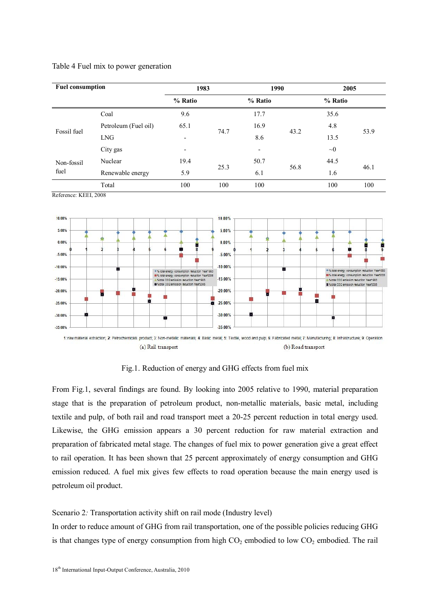| <b>Fuel consumption</b> |                      | 1983    |      | 1990                     |      | 2005     |      |
|-------------------------|----------------------|---------|------|--------------------------|------|----------|------|
|                         |                      | % Ratio |      | % Ratio                  |      | % Ratio  |      |
|                         | Coal                 | 9.6     |      | 17.7                     |      | 35.6     |      |
| Fossil fuel             | Petroleum (Fuel oil) | 65.1    | 74.7 | 16.9                     | 43.2 | 4.8      | 53.9 |
|                         | <b>LNG</b>           | -       |      | 8.6                      |      | 13.5     |      |
|                         | City gas             | ٠       |      | $\overline{\phantom{a}}$ |      | $\sim 0$ |      |
| Non-fossil              | Nuclear              | 19.4    | 25.3 | 50.7                     |      | 44.5     |      |
| fuel                    | Renewable energy     | 5.9     |      | 6.1                      | 56.8 | 1.6      | 46.1 |
|                         | Total                | 100     | 100  | 100                      |      | 100      | 100  |

Table 4 Fuel mix to power generation

Reference: KEEI, 2008



Fig.1. Reduction of energy and GHG effects from fuel mix

From Fig.1, several findings are found. By looking into 2005 relative to 1990, material preparation stage that is the preparation of petroleum product, non-metallic materials, basic metal, including textile and pulp, of both rail and road transport meet a 20-25 percent reduction in total energy used. Likewise, the GHG emission appears a 30 percent reduction for raw material extraction and preparation of fabricated metal stage. The changes of fuel mix to power generation give a great effect to rail operation. It has been shown that 25 percent approximately of energy consumption and GHG emission reduced. A fuel mix gives few effects to road operation because the main energy used is petroleum oil product.

#### Scenario 2*:* Transportation activity shift on rail mode (Industry level)

In order to reduce amount of GHG from rail transportation, one of the possible policies reducing GHG is that changes type of energy consumption from high  $CO<sub>2</sub>$  embodied to low  $CO<sub>2</sub>$  embodied. The rail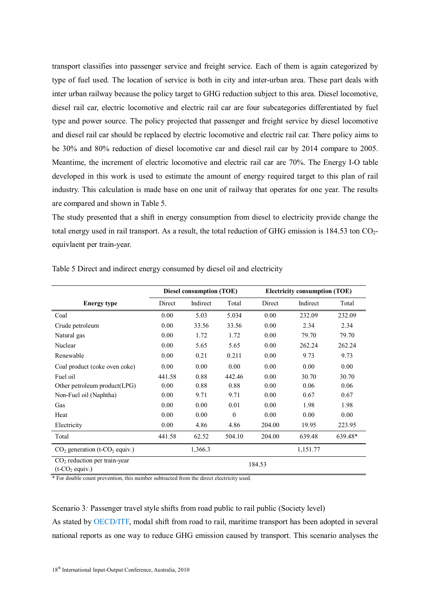transport classifies into passenger service and freight service. Each of them is again categorized by type of fuel used. The location of service is both in city and inter-urban area. These part deals with inter urban railway because the policy target to GHG reduction subject to this area. Diesel locomotive, diesel rail car, electric locomotive and electric rail car are four subcategories differentiated by fuel type and power source. The policy projected that passenger and freight service by diesel locomotive and diesel rail car should be replaced by electric locomotive and electric rail car. There policy aims to be 30% and 80% reduction of diesel locomotive car and diesel rail car by 2014 compare to 2005. Meantime, the increment of electric locomotive and electric rail car are 70%. The Energy I-O table developed in this work is used to estimate the amount of energy required target to this plan of rail industry. This calculation is made base on one unit of railway that operates for one year. The results are compared and shown in Table 5.

The study presented that a shift in energy consumption from diesel to electricity provide change the total energy used in rail transport. As a result, the total reduction of GHG emission is 184.53 ton CO2 equivlaent per train-year.

|                                                        | <b>Diesel consumption (TOE)</b> |          |          | <b>Electricity consumption (TOE)</b> |          |         |
|--------------------------------------------------------|---------------------------------|----------|----------|--------------------------------------|----------|---------|
| <b>Energy type</b>                                     | Direct                          | Indirect | Total    | Direct                               | Indirect | Total   |
| Coal                                                   | 0.00                            | 5.03     | 5.034    | 0.00                                 | 232.09   | 232.09  |
| Crude petroleum                                        | 0.00                            | 33.56    | 33.56    | 0.00                                 | 2.34     | 2.34    |
| Natural gas                                            | 0.00                            | 1.72     | 1.72     | 0.00                                 | 79.70    | 79.70   |
| Nuclear                                                | 0.00                            | 5.65     | 5.65     | 0.00                                 | 262.24   | 262.24  |
| Renewable                                              | 0.00                            | 0.21     | 0.211    | 0.00                                 | 9.73     | 9.73    |
| Coal product (coke oven coke)                          | 0.00                            | 0.00     | 0.00     | 0.00                                 | 0.00     | 0.00    |
| Fuel oil                                               | 441.58                          | 0.88     | 442.46   | 0.00                                 | 30.70    | 30.70   |
| Other petroleum product(LPG)                           | 0.00                            | 0.88     | 0.88     | 0.00                                 | 0.06     | 0.06    |
| Non-Fuel oil (Naphtha)                                 | 0.00                            | 9.71     | 9.71     | 0.00                                 | 0.67     | 0.67    |
| Gas                                                    | 0.00                            | 0.00     | 0.01     | 0.00                                 | 1.98     | 1.98    |
| Heat                                                   | 0.00                            | 0.00     | $\theta$ | 0.00                                 | 0.00     | 0.00    |
| Electricity                                            | 0.00                            | 4.86     | 4.86     | 204.00                               | 19.95    | 223.95  |
| Total                                                  | 441.58                          | 62.52    | 504.10   | 204.00                               | 639.48   | 639.48* |
| $CO2$ generation (t- $CO2$ equiv.)                     |                                 | 1,366.3  |          |                                      | 1,151.77 |         |
| $CO2$ reduction per train-year<br>$(t$ - $CO2$ equiv.) | 184.53                          |          |          |                                      |          |         |

Table 5 Direct and indirect energy consumed by diesel oil and electricity

\* For double count prevention, this number subtracted from the direct electricity used.

Scenario 3*:* Passenger travel style shifts from road public to rail public (Society level) As stated by OECD/ITF, modal shift from road to rail, maritime transport has been adopted in several national reports as one way to reduce GHG emission caused by transport. This scenario analyses the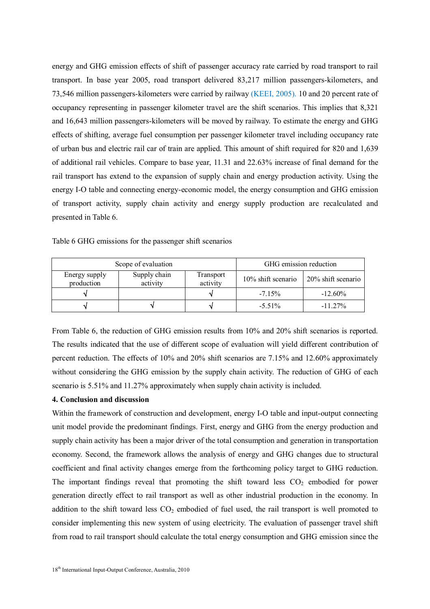energy and GHG emission effects of shift of passenger accuracy rate carried by road transport to rail transport. In base year 2005, road transport delivered 83,217 million passengers-kilometers, and 73,546 million passengers-kilometers were carried by railway (KEEI, 2005). 10 and 20 percent rate of occupancy representing in passenger kilometer travel are the shift scenarios. This implies that 8,321 and 16,643 million passengers-kilometers will be moved by railway. To estimate the energy and GHG effects of shifting, average fuel consumption per passenger kilometer travel including occupancy rate of urban bus and electric rail car of train are applied. This amount of shift required for 820 and 1,639 of additional rail vehicles. Compare to base year, 11.31 and 22.63% increase of final demand for the rail transport has extend to the expansion of supply chain and energy production activity. Using the energy I-O table and connecting energy-economic model, the energy consumption and GHG emission of transport activity, supply chain activity and energy supply production are recalculated and presented in Table 6.

|                             | Scope of evaluation      | GHG emission reduction       |                       |                    |
|-----------------------------|--------------------------|------------------------------|-----------------------|--------------------|
| Energy supply<br>production | Supply chain<br>activity | <b>Transport</b><br>activity | $10\%$ shift scenario | 20% shift scenario |
|                             |                          |                              | $-715%$               | $-12.60\%$         |
|                             |                          |                              | $-5.51\%$             | $-11.27\%$         |

Table 6 GHG emissions for the passenger shift scenarios

From Table 6, the reduction of GHG emission results from 10% and 20% shift scenarios is reported. The results indicated that the use of different scope of evaluation will yield different contribution of percent reduction. The effects of 10% and 20% shift scenarios are 7.15% and 12.60% approximately without considering the GHG emission by the supply chain activity. The reduction of GHG of each scenario is 5.51% and 11.27% approximately when supply chain activity is included.

#### **4. Conclusion and discussion**

Within the framework of construction and development, energy I-O table and input-output connecting unit model provide the predominant findings. First, energy and GHG from the energy production and supply chain activity has been a major driver of the total consumption and generation in transportation economy. Second, the framework allows the analysis of energy and GHG changes due to structural coefficient and final activity changes emerge from the forthcoming policy target to GHG reduction. The important findings reveal that promoting the shift toward less  $CO<sub>2</sub>$  embodied for power generation directly effect to rail transport as well as other industrial production in the economy. In addition to the shift toward less  $CO<sub>2</sub>$  embodied of fuel used, the rail transport is well promoted to consider implementing this new system of using electricity. The evaluation of passenger travel shift from road to rail transport should calculate the total energy consumption and GHG emission since the